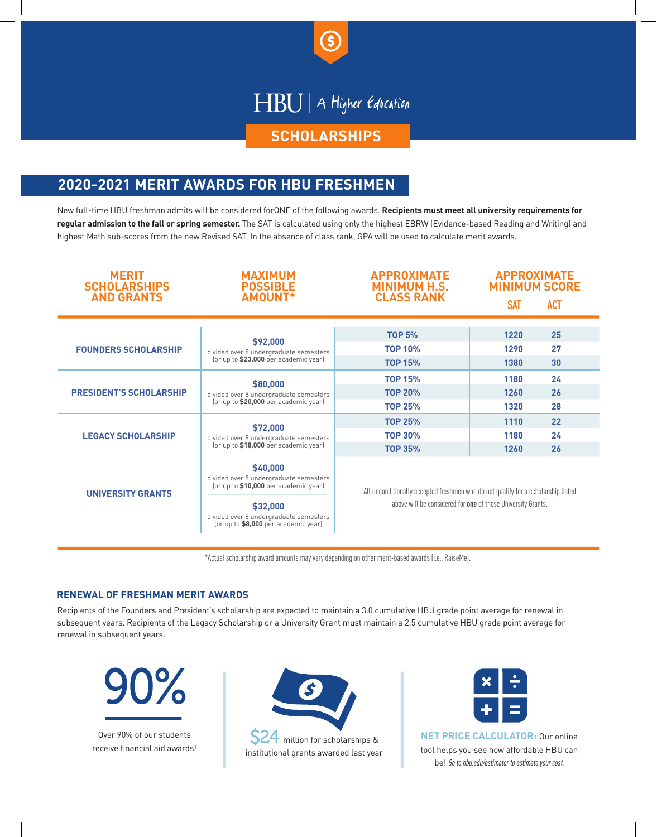

## HBU | A Higher Education

#### **SCHOLARSHIPS**

### **2020-2021 MERIT AWARDS FOR HBU FRESHMEN**

New full-time HBU freshman admits will be considered forONE of the following awards. **Recipients must meet all university requirements for regular admission to the fall or spring semester.** The SAT is calculated using only the highest EBRW (Evidence-based Reading and Writing) and highest Math sub-scores from the new Revised SAT. In the absence of class rank, GPA will be used to calculate merit awards.

| <b>MERIT</b><br><b>SCHOLARSHIPS</b><br><b>AND GRANTS</b> | <b>MAXIMUM</b><br><b>POSSIBLE</b><br><b>AMOUNT*</b>                                                                                                                                       | <b>APPROXIMATE</b><br><b>MINIMUM H.S.</b><br><b>CLASS RANK</b>                                                                                    | <b>APPROXIMATE</b><br><b>MINIMUM SCORE</b> |            |
|----------------------------------------------------------|-------------------------------------------------------------------------------------------------------------------------------------------------------------------------------------------|---------------------------------------------------------------------------------------------------------------------------------------------------|--------------------------------------------|------------|
|                                                          |                                                                                                                                                                                           |                                                                                                                                                   | <b>SAT</b>                                 | <b>ACT</b> |
|                                                          |                                                                                                                                                                                           |                                                                                                                                                   |                                            |            |
| <b>FOUNDERS SCHOLARSHIP</b>                              | \$92,000<br>divided over 8 undergraduate semesters<br>(or up to \$23,000 per academic year)                                                                                               | <b>TOP 5%</b>                                                                                                                                     | 1220                                       | 25         |
|                                                          |                                                                                                                                                                                           | <b>TOP 10%</b>                                                                                                                                    | 1290                                       | 27         |
|                                                          |                                                                                                                                                                                           | <b>TOP 15%</b>                                                                                                                                    | 1380                                       | 30         |
| <b>PRESIDENT'S SCHOLARSHIP</b>                           | \$80,000<br>divided over 8 undergraduate semesters<br>(or up to \$20,000 per academic year)                                                                                               | <b>TOP 15%</b>                                                                                                                                    | 1180                                       | 24         |
|                                                          |                                                                                                                                                                                           | <b>TOP 20%</b>                                                                                                                                    | 1260                                       | 26         |
|                                                          |                                                                                                                                                                                           | <b>TOP 25%</b>                                                                                                                                    | 1320                                       | 28         |
| <b>LEGACY SCHOLARSHIP</b>                                | \$72,000<br>divided over 8 undergraduate semesters<br>(or up to \$18,000 per academic year)                                                                                               | <b>TOP 25%</b>                                                                                                                                    | 1110                                       | 22         |
|                                                          |                                                                                                                                                                                           | <b>TOP 30%</b>                                                                                                                                    | 1180                                       | 24         |
|                                                          |                                                                                                                                                                                           | <b>TOP 35%</b>                                                                                                                                    | 1260                                       | 26         |
| <b>UNIVERSITY GRANTS</b>                                 | \$40,000<br>divided over 8 undergraduate semesters<br>(or up to \$10,000 per academic year)<br>\$32,000<br>divided over 8 undergraduate semesters<br>(or up to \$8,000 per academic year) | All unconditionally accepted freshmen who do not qualify for a scholarship listed<br>above will be considered for one of these University Grants. |                                            |            |

\*Actual scholarship award amounts may vary depending on other merit-based awards (i.e., RaiseMe).

#### **RENEWAL OF FRESHMAN MERIT AWARDS**

Recipients of the Founders and President's scholarship are expected to maintain a 3.0 cumulative HBU grade point average for renewal in subsequent years. Recipients of the Legacy Scholarship or a University Grant must maintain a 2.5 cumulative HBU grade point average for renewal in subsequent years.



Over 90% of our students receive financial aid awards!







**NET PRICE CALCULATOR:** Our online tool helps you see how affordable HBU can be! Go to hbu.edu/estimator to estimate your cost.